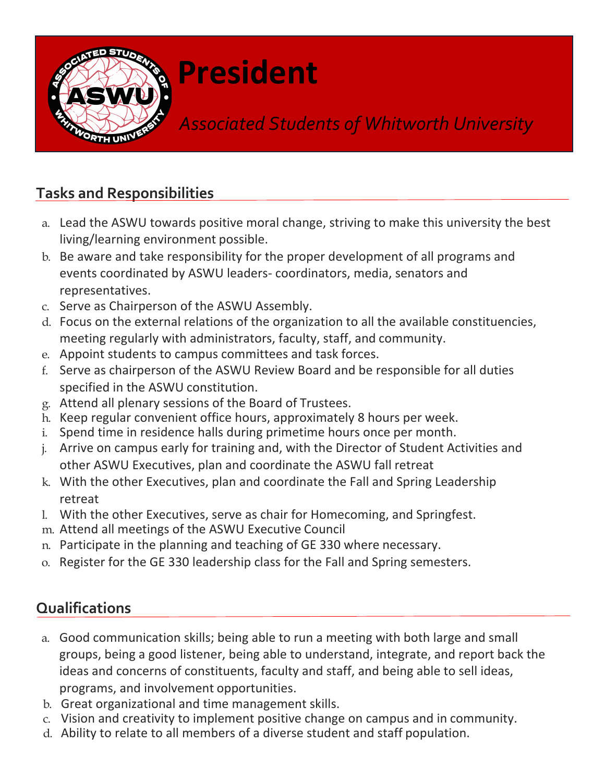

# **President**

## *Associated Students of Whitworth University*

### **Tasks and Responsibilities**

- a. Lead the ASWU towards positive moral change, striving to make this university the best living/learning environment possible.
- b. Be aware and take responsibility for the proper development of all programs and events coordinated by ASWU leaders- coordinators, media, senators and representatives.
- c. Serve as Chairperson of the ASWU Assembly.
- d. Focus on the external relations of the organization to all the available constituencies, meeting regularly with administrators, faculty, staff, and community.
- e. Appoint students to campus committees and task forces.
- f. Serve as chairperson of the ASWU Review Board and be responsible for all duties specified in the ASWU constitution.
- g. Attend all plenary sessions of the Board of Trustees.
- h. Keep regular convenient office hours, approximately 8 hours per week.
- i. Spend time in residence halls during primetime hours once per month.
- j. Arrive on campus early for training and, with the Director of Student Activities and other ASWU Executives, plan and coordinate the ASWU fall retreat
- k. With the other Executives, plan and coordinate the Fall and Spring Leadership retreat
- l. With the other Executives, serve as chair for Homecoming, and Springfest.
- m. Attend all meetings of the ASWU Executive Council
- n. Participate in the planning and teaching of GE 330 where necessary.
- o. Register for the GE 330 leadership class for the Fall and Spring semesters.

#### **Qualifications**

- a. Good communication skills; being able to run a meeting with both large and small groups, being a good listener, being able to understand, integrate, and report back the ideas and concerns of constituents, faculty and staff, and being able to sell ideas, programs, and involvement opportunities.
- b. Great organizational and time management skills.
- c. Vision and creativity to implement positive change on campus and in community.
- d. Ability to relate to all members of a diverse student and staff population.